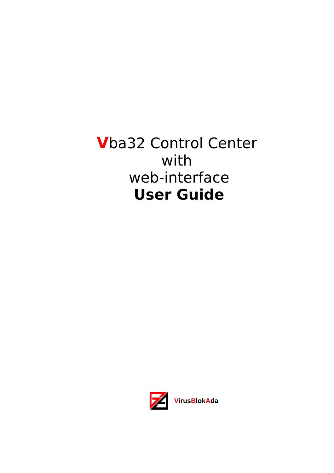# **V**ba32 Control Center with web-interface **User Guide**

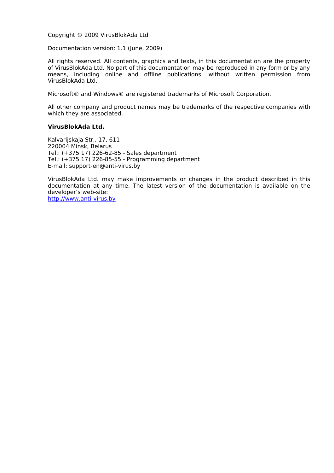Copyright © 2009 VirusBlokAda Ltd.

Documentation version: 1.1 (June, 2009)

All rights reserved. All contents, graphics and texts, in this documentation are the property of VirusBlokAda Ltd. No part of this documentation may be reproduced in any form or by any means, including online and offline publications, without written permission from VirusBlokAda Ltd.

Microsoft® and Windows® are registered trademarks of Microsoft Corporation.

All other company and product names may be trademarks of the respective companies with which they are associated.

#### **VirusBlokAda Ltd.**

Kalvarijskaja Str., 17, 611 220004 Minsk, Belarus Tel.: (+375 17) 226-62-85 - Sales department Tel.: (+375 17) 226-85-55 - Programming department E-mail: support-en@anti-virus.by

VirusBlokAda Ltd. may make improvements or changes in the product described in this documentation at any time. The latest version of the documentation is available on the developer's web-site:

[http://www.anti-virus.by](http://www.anti-virus.by/)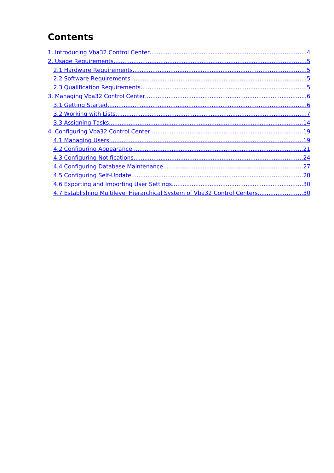## **Contents**

| 4.7 Establishing Multilevel Hierarchical System of Vba32 Control Centers30 |  |
|----------------------------------------------------------------------------|--|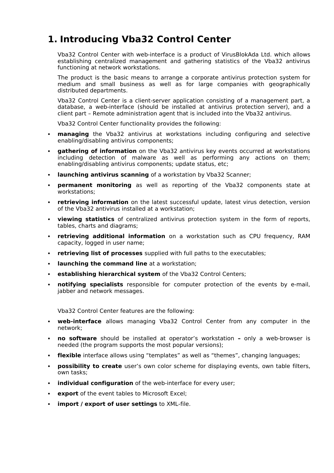## <span id="page-3-0"></span>**1. Introducing Vba32 Control Center**

Vba32 Control Center with web-interface is a product of VirusBlokAda Ltd. which allows establishing centralized management and gathering statistics of the Vba32 antivirus functioning at network workstations.

The product is the basic means to arrange a corporate antivirus protection system for medium and small business as well as for large companies with geographically distributed departments.

Vba32 Control Center is a client-server application consisting of a management part, a database, a web-interface (should be installed at antivirus protection server), and a client part – Remote administration agent that is included into the Vba32 antivirus.

Vba32 Control Center functionality provides the following:

- **managing** the Vba32 antivirus at workstations including configuring and selective enabling/disabling antivirus components;
- **gathering of information** on the Vba32 antivirus key events occurred at workstations including detection of malware as well as performing any actions on them; enabling/disabling antivirus components; update status, etc;
- **launching antivirus scanning** of a workstation by Vba32 Scanner;
- **permanent monitoring** as well as reporting of the Vba32 components state at workstations;
- **retrieving information** on the latest successful update, latest virus detection, version of the Vba32 antivirus installed at a workstation;
- **viewing statistics** of centralized antivirus protection system in the form of reports, tables, charts and diagrams;
- **retrieving additional information** on a workstation such as CPU frequency, RAM capacity, logged in user name;
- **retrieving list of processes** supplied with full paths to the executables;
- **launching the command line** at a workstation;
- **establishing hierarchical system** of the Vba32 Control Centers;
- **notifying specialists** responsible for computer protection of the events by e-mail, jabber and network messages.

Vba32 Control Center features are the following:

- **web-interface** allows managing Vba32 Control Center from any computer in the network;
- **no software** should be installed at operator's workstationonly a web-browser is needed (the program supports the most popular versions);
- **flexible** interface allows using "templates" as well as "themes", changing languages;
- **possibility to create** user's own color scheme for displaying events, own table filters, own tasks;
- **individual configuration** of the web-interface for every user;
- **export** of the event tables to Microsoft Excel;
- **import / export of user settings** to XML-file.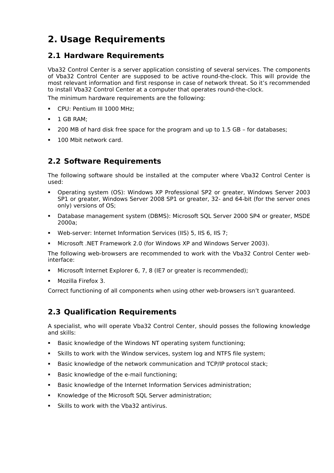## <span id="page-4-3"></span>**2. Usage Requirements**

## <span id="page-4-2"></span>**2.1 Hardware Requirements**

Vba32 Control Center is a server application consisting of several services. The components of Vba32 Control Center are supposed to be active round-the-clock. This will provide the most relevant information and first response in case of network threat. So it's recommended to install Vba32 Control Center at a computer that operates round-the-clock.

The minimum hardware requirements are the following:

- **CPU: Pentium III 1000 MHz:**
- $-1$  GB RAM;
- 200 MB of hard disk free space for the program and up to 1.5 GB for databases;
- **100 Mbit network card.**

## <span id="page-4-1"></span>**2.2 Software Requirements**

The following software should be installed at the computer where Vba32 Control Center is used:

- Operating system (OS): Windows XP Professional SP2 or greater, Windows Server 2003 SP1 or greater, Windows Server 2008 SP1 or greater, 32- and 64-bit (for the server ones only) versions of OS;
- Database management system (DBMS): Microsoft SQL Server 2000 SP4 or greater, MSDE 2000a;
- Web-server: Internet Information Services (IIS) 5, IIS 6, IIS 7;
- Microsoft .NET Framework 2.0 (for Windows XP and Windows Server 2003).

The following web-browsers are recommended to work with the Vba32 Control Center webinterface:

- Microsoft Internet Explorer 6, 7, 8 (IE7 or greater is recommended);
- Mozilla Firefox 3.

Correct functioning of all components when using other web-browsers isn't guaranteed.

## <span id="page-4-0"></span>**2.3 Qualification Requirements**

A specialist, who will operate Vba32 Control Center, should posses the following knowledge and skills:

- Basic knowledge of the Windows NT operating system functioning;
- Skills to work with the Window services, system log and NTFS file system;
- Basic knowledge of the network communication and TCP/IP protocol stack;
- Basic knowledge of the e-mail functioning;
- Basic knowledge of the Internet Information Services administration;
- **K**nowledge of the Microsoft SQL Server administration;
- Skills to work with the Vba32 antivirus.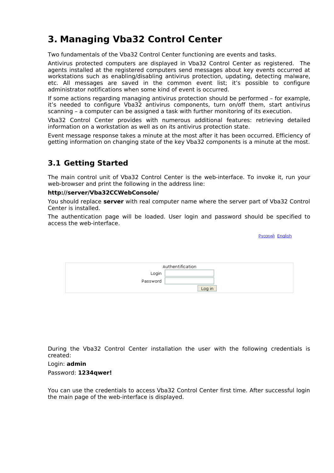## <span id="page-5-1"></span>**3. Managing Vba32 Control Center**

Two fundamentals of the Vba32 Control Center functioning are events and tasks.

Antivirus protected computers are displayed in Vba32 Control Center as registered. The agents installed at the registered computers send messages about key events occurred at workstations such as enabling/disabling antivirus protection, updating, detecting malware, etc. All messages are saved in the common event list; it's possible to configure administrator notifications when some kind of event is occurred.

If some actions regarding managing antivirus protection should be performed – for example, it's needed to configure Vba32 antivirus components, turn on/off them, start antivirus scanning – a computer can be assigned a task with further monitoring of its execution.

Vba32 Control Center provides with numerous additional features: retrieving detailed information on a workstation as well as on its antivirus protection state.

Event message response takes a minute at the most after it has been occurred. Efficiency of getting information on changing state of the key Vba32 components is a minute at the most.

## <span id="page-5-0"></span>**3.1 Getting Started**

The main control unit of Vba32 Control Center is the web-interface. To invoke it, run your web-browser and print the following in the address line:

#### **http://server/Vba32CCWebConsole/**

You should replace **server** with real computer name where the server part of Vba32 Control Center is installed.

The authentication page will be loaded. User login and password should be specified to access the web-interface.

Русский English

|          | Authentification |
|----------|------------------|
| Login    |                  |
| Password |                  |
|          | Log in           |

During the Vba32 Control Center installation the user with the following credentials is created:

Login: **admin**

Password: **1234qwer!**

You can use the credentials to access Vba32 Control Center first time. After successful login the main page of the web-interface is displayed.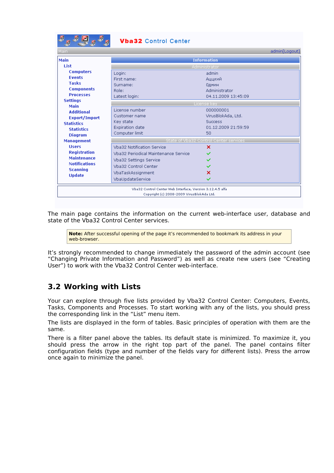| 国                    | <b>Vba32</b> Control Center                               |                     |               |  |
|----------------------|-----------------------------------------------------------|---------------------|---------------|--|
| Main.                |                                                           |                     | admin[Logout] |  |
| Main                 |                                                           | <b>Information</b>  |               |  |
| List                 |                                                           | Administrator       |               |  |
| <b>Computers</b>     | Login:                                                    | admin               |               |  |
| <b>Events</b>        | First name:                                               | Аццкий              |               |  |
| Tasks                | Surname:                                                  | Одмин               |               |  |
| <b>Components</b>    | Role:                                                     | Administrator       |               |  |
| <b>Processes</b>     | Latest login:                                             | 04.11.2009 13:45:09 |               |  |
| <b>Settings</b>      |                                                           | License key         |               |  |
| <b>Main</b>          | License number                                            |                     |               |  |
| <b>Additional</b>    |                                                           | 000000001           |               |  |
| Export/Import        | Customer name                                             | VirusBlokAda, Ltd.  |               |  |
| <b>Statistics</b>    | Key state                                                 | <b>Success</b>      |               |  |
| <b>Statistics</b>    | <b>Expiration date</b>                                    | 01.12.2009 21:59:59 |               |  |
| <b>Diagram</b>       | Computer limit                                            | 50                  |               |  |
| <b>Management</b>    | State of Vba32 Control Center services                    |                     |               |  |
| <b>Hisers</b>        | <b>Vba32 Notification Service</b>                         | ×                   |               |  |
| <b>Registration</b>  | Vba32 Periodical Maintenance Service                      |                     |               |  |
| <b>Maintenance</b>   | Vba32 Settings Service                                    |                     |               |  |
| <b>Notifications</b> | Vba32 Control Center                                      |                     |               |  |
| <b>Scanning</b>      | VbaTaskAssignment                                         | ×                   |               |  |
| <b>Update</b>        |                                                           |                     |               |  |
|                      | VbaUpdateService                                          | ✓                   |               |  |
|                      | Vba32 Control Center Web Interface, Version 3.12.4.5 alfa |                     |               |  |
|                      | Copyright (c) 2008-2009 VirusBlokAda Ltd.                 |                     |               |  |

The main page contains the information on the current web-interface user, database and state of the Vba32 Control Center services.

**Note:** After successful opening of the page it's recommended to bookmark its address in your web-browser

It's strongly recommended to change immediately the password of the admin account (see "Changing Private Information and Password") as well as create new users (see "Creating User") to work with the Vba32 Control Center web-interface.

## <span id="page-6-0"></span>**3.2 Working with Lists**

Your can explore through five lists provided by Vba32 Control Center: Computers, Events, Tasks, Components and Processes. To start working with any of the lists, you should press the corresponding link in the "List" menu item.

The lists are displayed in the form of tables. Basic principles of operation with them are the same.

There is a filter panel above the tables. Its default state is minimized. To maximize it, you should press the arrow in the right top part of the panel. The panel contains filter configuration fields (type and number of the fields vary for different lists). Press the arrow once again to minimize the panel.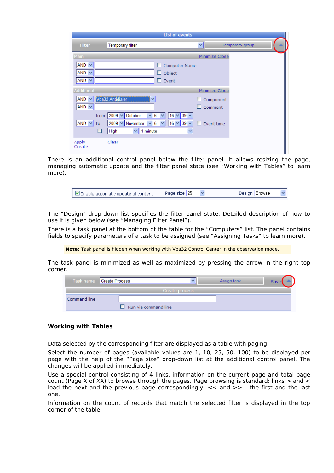|                                                 | <b>List of events</b>                                                                                                                                                               |    |                      |  |
|-------------------------------------------------|-------------------------------------------------------------------------------------------------------------------------------------------------------------------------------------|----|----------------------|--|
| Filter                                          | Temporary filter                                                                                                                                                                    | ×۱ | Temporary group      |  |
| Main                                            |                                                                                                                                                                                     |    | Minimize Close       |  |
| $AND \sim$<br>AND<br>$\checkmark$<br>$AND \vee$ | <b>Computer Name</b><br>$\Box$ Object<br>$\Box$ Event                                                                                                                               |    |                      |  |
| Additional                                      |                                                                                                                                                                                     |    | Minimize Close       |  |
| AND v Vba32 Antidialer<br>$AND \vee$            | v                                                                                                                                                                                   |    | Component<br>Comment |  |
| from<br>$AND \vee$<br>to<br>п                   | $2009 \vee$<br>$\checkmark$<br>October<br>16<br>6<br>$\vee$ 39 $\vee$<br>$\checkmark$<br>$16 \times 39 \times$<br>$2009 \vee$ November<br>6<br>v<br>٧<br>1 minute<br>High<br>×<br>v |    | Event time           |  |
| Apply<br>Create                                 | Clear                                                                                                                                                                               |    |                      |  |

There is an additional control panel below the filter panel. It allows resizing the page, managing automatic update and the filter panel state (see "Working with Tables" to learn more).

The "Design" drop-down list specifies the filter panel state. Detailed description of how to use it is given below (see "Managing Filter Panel").

There is a task panel at the bottom of the table for the "Computers" list. The panel contains fields to specify parameters of a task to be assigned (see "Assigning Tasks" to learn more).

**Note:** Task panel is hidden when working with Vba32 Control Center in the observation mode.

The task panel is minimized as well as maximized by pressing the arrow in the right top corner.

|              | Task name Create Process |                | Assign task | Save |
|--------------|--------------------------|----------------|-------------|------|
|              |                          | Create process |             |      |
| Command line |                          |                |             |      |
|              | Run via command line     |                |             |      |

#### **Working with Tables**

Data selected by the corresponding filter are displayed as a table with paging.

Select the number of pages (available values are 1, 10, 25, 50, 100) to be displayed per page with the help of the "Page size" drop-down list at the additional control panel. The changes will be applied immediately.

Use a special control consisting of 4 links, information on the current page and total page count (Page X of XX) to browse through the pages. Page browsing is standard: links  $>$  and  $<$ load the next and the previous page correspondingly,  $\lt$  and  $\gt$  - the first and the last one.

Information on the count of records that match the selected filter is displayed in the top corner of the table.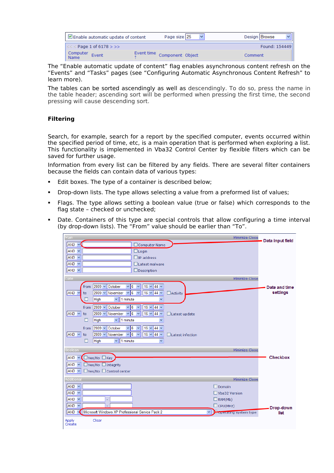|                  | Enable automatic update of content | Page size 25                | Design Browse |
|------------------|------------------------------------|-----------------------------|---------------|
|                  | $<<$ Page 1 of 6178 > >>           |                             | Found: 154449 |
| Computer<br>Name | Event                              | Event time Component Object | Comment       |

The "Enable automatic update of content" flag enables asynchronous content refresh on the "Events" and "Tasks" pages (see "Configuring Automatic Asynchronous Content Refresh" to learn more).

The tables can be sorted ascendingly as well as descendingly. To do so, press the name in the table header; ascending sort will be performed when pressing the first time, the second pressing will cause descending sort.

#### **Filtering**

Search, for example, search for a report by the specified computer, events occurred within the specified period of time, etc, is a main operation that is performed when exploring a list. This functionality is implemented in Vba32 Control Center by flexible filters which can be saved for further usage.

Information from every list can be filtered by any fields. There are several filter containers because the fields can contain data of various types:

- Edit boxes. The type of a container is described below;
- Drop-down lists. The type allows selecting a value from a preformed list of values;
- Flags. The type allows setting a boolean value (true or false) which corresponds to the flag state – checked or unchecked;
- Date. Containers of this type are special controls that allow configuring a time interval (by drop-down lists). The "From" value should be earlier than "To".

| Main                                                                                                                     | Minimize Close                | Data input field |
|--------------------------------------------------------------------------------------------------------------------------|-------------------------------|------------------|
| AND ~<br>$\Box$ Computer Name                                                                                            |                               |                  |
| $AND \vee$<br>$\Box$ Login                                                                                               |                               |                  |
| $AND \vee$<br>$\square$ IP address                                                                                       |                               |                  |
| $AND \vee$<br>□Latest malware<br>$AND \vee$                                                                              |                               |                  |
| $\Box$ Description                                                                                                       |                               |                  |
| <b>Date</b>                                                                                                              | Minimize Close                |                  |
| $ 2009 \vee $<br>October<br>6<br>16<br>$\vee$ 44 $\vee$<br>from<br>$\checkmark$<br>$\checkmark$                          |                               | Date and time    |
| $2009 \vee$<br>November<br>6<br>$16 \times$<br>$44 \vee$<br>AND<br>$\Box$ Activity<br>×<br>v<br>to                       |                               | settings         |
| $\vee$ 1 minute<br>High                                                                                                  |                               |                  |
| $2009 \vee$<br>$6\phantom{1}6$<br>16<br>$44 \vee$<br>from<br>October<br>$\checkmark$<br>v<br>$\checkmark$                |                               |                  |
| 6<br>$2009 \vee$<br>November<br>$16 \vee$<br>$44 \vee$<br>$AND \vee$<br>to<br>v<br>Ÿ<br>$\Box$ Latest update             |                               |                  |
| 1 minute<br>High<br>$\vee$<br>П<br>v                                                                                     |                               |                  |
| $2009 \vee$<br>6<br>October<br>×<br>16<br>$44 \vee$<br>from<br>v<br>$\checkmark$                                         |                               |                  |
| 6<br>$2009 -$<br>November<br>$16 \vee$<br>$ AND \nightharpoonup$<br>$44 \vee$<br>$\Box$ Latest infection<br>to<br>v<br>Ÿ |                               |                  |
| High<br>1 minute<br>П<br>M.<br>$\checkmark$                                                                              |                               |                  |
| Boolean                                                                                                                  | Minimize Close                |                  |
| $AND \sim$<br>■ Yes/No ■ Key                                                                                             |                               | Checkbox         |
| <b>AND</b><br>$\Box$ Yes/No $\Box$ Integrity<br>$\checkmark$                                                             |                               |                  |
| $AND \sim$<br>$\Box$ Yes/No $\Box$ Control center                                                                        |                               |                  |
| <b>Additional</b>                                                                                                        | Minimize Close                |                  |
| $AND \sim$                                                                                                               | $\Box$ Domain                 |                  |
| $AND \vee$                                                                                                               | Vba32 Version                 |                  |
| $AND \vee$                                                                                                               | $\Box$ RAM(Mb)                |                  |
| $AND \vee$                                                                                                               | $\Box$ CPU(MHz)               | Drop-down        |
| Microsoft Windows XP Professional Service Pack 2<br>AND                                                                  | <b>Doperating system type</b> | list             |
| Clear<br><b>Apply</b><br>Create                                                                                          |                               |                  |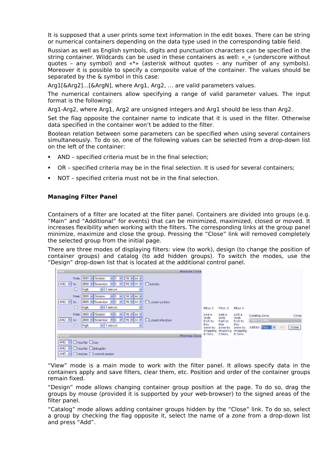It is supposed that a user prints some text information in the edit boxes. There can be string or numerical containers depending on the data type used in the corresponding table field.

Russian as well as English symbols, digits and punctuation characters can be specified in the string container. Wildcards can be used in these containers as well: « » (underscore without quotes – any symbol) and «\*» (asterisk without quotes – any number of any symbols). Moreover it is possible to specify a composite value of the container. The values should be separated by the & symbol in this case:

Arg1[&Arg2]…[&ArgN], where Arg1, Arg2, … are valid parameters values.

The numerical containers allow specifying a range of valid parameter values. The input format is the following:

Arg1-Arg2, where Arg1, Arg2 are unsigned integers and Arg1 should be less than Arg2.

Set the flag opposite the container name to indicate that it is used in the filter. Otherwise data specified in the container won't be added to the filter.

Boolean relation between some parameters can be specified when using several containers simultaneously. To do so, one of the following values can be selected from a drop-down list on the left of the container:

- AND specified criteria must be in the final selection;
- OR specified criteria may be in the final selection. It is used for several containers;
- NOT specified criteria must not be in the final selection.

#### **Managing Filter Panel**

Containers of a filter are located at the filter panel. Containers are divided into groups (e.g. "Main" and "Additional" for events) that can be minimized, maximized, closed or moved. It increases flexibility when working with the filters. The corresponding links at the group panel minimize, maximize and close the group. Pressing the "Close" link will removed completely the selected group from the initial page.

There are three modes of displaying filters: view (to work), design (to change the position of container groups) and catalog (to add hidden groups). To switch the modes, use the "Design" drop-down list that is located at the additional control panel.



"View" mode is a main mode to work with the filter panel. It allows specify data in the containers apply and save filters, clear them, etc. Position and order of the container groups remain fixed.

"Design" mode allows changing container group position at the page. To do so, drag the groups by mouse (provided it is supported by your web-browser) to the signed areas of the filter panel.

"Catalog" mode allows adding container groups hidden by the "Close" link. To do so, select a group by checking the flag opposite it, select the name of a zone from a drop-down list and press "Add".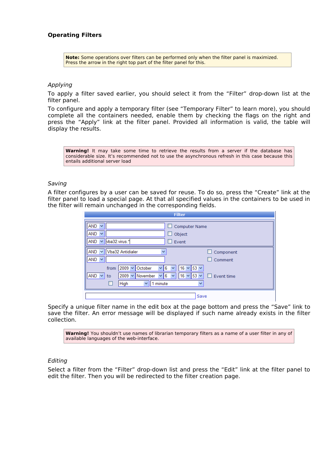#### **Operating Filters**

**Note:** Some operations over filters can be performed only when the filter panel is maximized. Press the arrow in the right top part of the filter panel for this.

#### Applying

To apply a filter saved earlier, you should select it from the "Filter" drop-down list at the filter panel.

To configure and apply a temporary filter (see "Temporary Filter" to learn more), you should complete all the containers needed, enable them by checking the flags on the right and press the "Apply" link at the filter panel. Provided all information is valid, the table will display the results.

**Warning!** It may take some time to retrieve the results from a server if the database has considerable size. It's recommended not to use the asynchronous refresh in this case because this entails additional server load

#### Saving

A filter configures by a user can be saved for reuse. To do so, press the "Create" link at the filter panel to load a special page. At that all specified values in the containers to be used in the filter will remain unchanged in the corresponding fields.

| <b>Filter</b>                                                                                                                                                                           |                   |
|-----------------------------------------------------------------------------------------------------------------------------------------------------------------------------------------|-------------------|
| $AND \vee$<br>$\Box$ Computer Name                                                                                                                                                      |                   |
| $AND \vee$<br>Object<br>┚                                                                                                                                                               |                   |
| vba32.virus.*<br>$AND \sim$<br>Event<br>. .                                                                                                                                             |                   |
| Vba32 Antidialer<br>$AND \vee$<br>$\checkmark$                                                                                                                                          | $\Box$ Component  |
| $AND \vee$                                                                                                                                                                              | $\Box$ Comment    |
| 2009 $\vee$ October<br>$16 \times 53 \times$<br>from<br>6<br>v<br>$AND \vee$<br>16<br>$2009 \vee$ November<br>$\vee$ 53 $\vee$<br>6<br>to<br>٧<br>1 minute<br>High<br>v<br>$\checkmark$ | $\Box$ Event time |
| Save                                                                                                                                                                                    |                   |

Specify a unique filter name in the edit box at the page bottom and press the "Save" link to save the filter. An error message will be displayed if such name already exists in the filter collection.

**Warning!** You shouldn't use names of librarian temporary filters as a name of a user filter in any of available languages of the web-interface.

#### Editing

Select a filter from the "Filter" drop-down list and press the "Edit" link at the filter panel to edit the filter. Then you will be redirected to the filter creation page.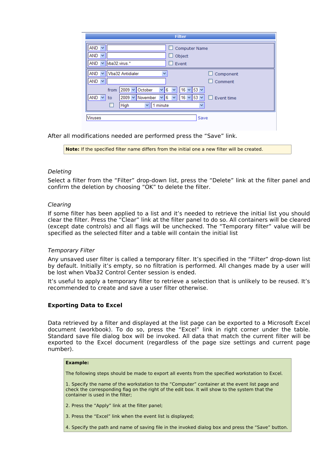| <b>Filter</b>                                                                                                                                                                                            |
|----------------------------------------------------------------------------------------------------------------------------------------------------------------------------------------------------------|
| <b>AND</b><br>$\Box$ Computer Name<br>AND<br>Object<br>$\checkmark$<br>4 T<br>$\vee$ vba32.virus.*<br>AND  <br>$\Box$ Event                                                                              |
| Vba32 Antidialer<br><b>AND</b><br>v<br>Component<br>$\checkmark$<br>$AND \sim$<br>Comment                                                                                                                |
| $2009 \vee$<br>October<br>$\vee$ 53 $\vee$<br>6<br>16<br>from<br>v<br>$AND \vee$<br>$2009 \vee$<br>November<br>6<br>$153 \times$<br>16<br>Event time<br>v<br>to<br>1 minute<br>High<br>v<br>$\checkmark$ |
| <b>Viruses</b><br>Save                                                                                                                                                                                   |

After all modifications needed are performed press the "Save" link.

**Note:** If the specified filter name differs from the initial one a new filter will be created.

#### Deleting

Select a filter from the "Filter" drop-down list, press the "Delete" link at the filter panel and confirm the deletion by choosing "OK" to delete the filter.

#### Clearing

If some filter has been applied to a list and it's needed to retrieve the initial list you should clear the filter. Press the "Clear" link at the filter panel to do so. All containers will be cleared (except date controls) and all flags will be unchecked. The "Temporary filter" value will be specified as the selected filter and a table will contain the initial list

#### Temporary Filter

Any unsaved user filter is called a temporary filter. It's specified in the "Filter" drop-down list by default. Initially it's empty, so no filtration is performed. All changes made by a user will be lost when Vba32 Control Center session is ended.

It's useful to apply a temporary filter to retrieve a selection that is unlikely to be reused. It's recommended to create and save a user filter otherwise.

#### **Exporting Data to Excel**

Data retrieved by a filter and displayed at the list page can be exported to a Microsoft Excel document (workbook). To do so, press the "Excel" link in right corner under the table. Standard save file dialog box will be invoked. All data that match the current filter will be exported to the Excel document (regardless of the page size settings and current page number).

#### **Example:**

The following steps should be made to export all events from the specified workstation to Excel.

1. Specify the name of the workstation to the "Computer" container at the event list page and check the corresponding flag on the right of the edit box. It will show to the system that the container is used in the filter;

- 2. Press the "Apply" link at the filter panel;
- 3. Press the "Excel" link when the event list is displayed;
- 4. Specify the path and name of saving file in the invoked dialog box and press the "Save" button.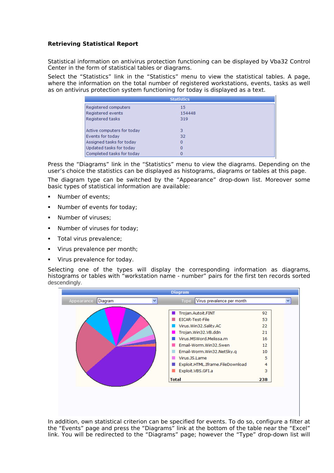#### **Retrieving Statistical Report**

Statistical information on antivirus protection functioning can be displayed by Vba32 Control Center in the form of statistical tables or diagrams.

Select the "Statistics" link in the "Statistics" menu to view the statistical tables. A page, where the information on the total number of registered workstations, events, tasks as well as on antivirus protection system functioning for today is displayed as a text.

|                            | <b>Statistics</b> |  |
|----------------------------|-------------------|--|
| Registered computers       | 15                |  |
| Registered events          | 154448            |  |
| Registered tasks           | 319               |  |
|                            |                   |  |
| Active computers for today | 3                 |  |
| Events for today           | 32                |  |
| Assigned tasks for today   | 0                 |  |
| Updated tasks for today    | 0                 |  |
| Completed tasks for today  |                   |  |

Press the "Diagrams" link in the "Statistics" menu to view the diagrams. Depending on the user's choice the statistics can be displayed as histograms, diagrams or tables at this page.

The diagram type can be switched by the "Appearance" drop-down list. Moreover some basic types of statistical information are available:

- Number of events;
- Number of events for today;
- Number of viruses;
- **Number of viruses for today;**
- Total virus prevalence;
- Virus prevalence per month;
- **Virus prevalence for today.**

Selecting one of the types will display the corresponding information as diagrams, histograms or tables with "workstation name - number" pairs for the first ten records sorted descendingly.



In addition, own statistical criterion can be specified for events. To do so, configure a filter at the "Events" page and press the "Diagrams" link at the bottom of the table near the "Excel" link. You will be redirected to the "Diagrams" page; however the "Type" drop-down list will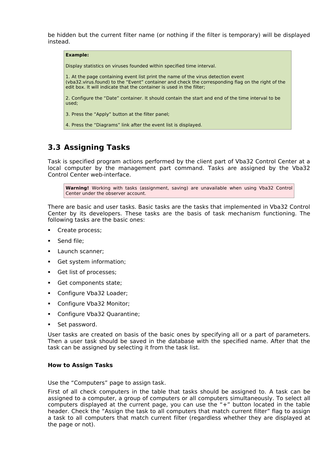be hidden but the current filter name (or nothing if the filter is temporary) will be displayed instead.

| <b>Example:</b>                                                                                                                                                                                                                                               |
|---------------------------------------------------------------------------------------------------------------------------------------------------------------------------------------------------------------------------------------------------------------|
| Display statistics on viruses founded within specified time interval.                                                                                                                                                                                         |
| 1. At the page containing event list print the name of the virus detection event<br>(vba32.virus.found) to the "Event" container and check the corresponding flag on the right of the<br>edit box. It will indicate that the container is used in the filter; |
| 2. Configure the "Date" container. It should contain the start and end of the time interval to be<br>used:                                                                                                                                                    |
| 3. Press the "Apply" button at the filter panel;                                                                                                                                                                                                              |
| 4. Press the "Diagrams" link after the event list is displayed.                                                                                                                                                                                               |

## <span id="page-13-0"></span>**3.3 Assigning Tasks**

Task is specified program actions performed by the client part of Vba32 Control Center at a local computer by the management part command. Tasks are assigned by the Vba32 Control Center web-interface.

**Warning!** Working with tasks (assignment, saving) are unavailable when using Vba32 Control Center under the observer account.

There are basic and user tasks. Basic tasks are the tasks that implemented in Vba32 Control Center by its developers. These tasks are the basis of task mechanism functioning. The following tasks are the basic ones:

- Create process;
- Send file;
- Launch scanner;
- Get system information;
- Get list of processes;
- Get components state;
- Configure Vba32 Loader;
- **Configure Vba32 Monitor;**
- Configure Vba32 Quarantine;
- Set password.

User tasks are created on basis of the basic ones by specifying all or a part of parameters. Then a user task should be saved in the database with the specified name. After that the task can be assigned by selecting it from the task list.

#### **How to Assign Tasks**

Use the "Computers" page to assign task.

First of all check computers in the table that tasks should be assigned to. A task can be assigned to a computer, a group of computers or all computers simultaneously. To select all computers displayed at the current page, you can use the "+" button located in the table header. Check the "Assign the task to all computers that match current filter" flag to assign a task to all computers that match current filter (regardless whether they are displayed at the page or not).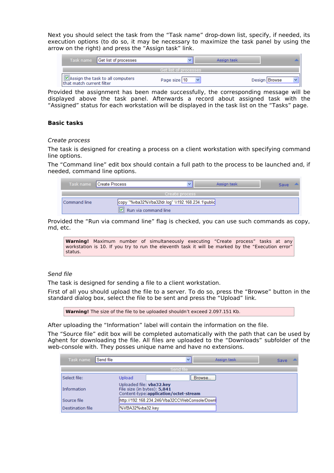Next you should select the task from the "Task name" drop-down list, specify, if needed, its execution options (to do so, it may be necessary to maximize the task panel by using the arrow on the right) and press the "Assign task" link.

| Task name Get list of processes                               |                        | Assign task |               |
|---------------------------------------------------------------|------------------------|-------------|---------------|
|                                                               | Get list of processes. |             |               |
| Assign the task to all computers<br>that match current filter | Page size 10           |             | Design Browse |

Provided the assignment has been made successfully, the corresponding message will be displayed above the task panel. Afterwards a record about assigned task with the "Assigned" status for each workstation will be displayed in the task list on the "Tasks" page.

#### **Basic tasks**

#### Create process

The task is designed for creating a process on a client workstation with specifying command line options.

The "Command line" edit box should contain a full path to the process to be launched and, if needed, command line options.

| Task name    | Create Process                                                            |                | Assign task | Save |
|--------------|---------------------------------------------------------------------------|----------------|-------------|------|
|              |                                                                           | Create process |             |      |
| Command line | copy "%vba32%Vba32ldr.log" \\192.168.234.1\public<br>Run via command line |                |             |      |

Provided the "Run via command line" flag is checked, you can use such commands as copy, md, etc.

**Warning!** Maximum number of simultaneously executing "Create process" tasks at any workstation is 10. If you try to run the eleventh task it will be marked by the "Execution error" status.

#### Send file

The task is designed for sending a file to a client workstation.

First of all you should upload the file to a server. To do so, press the "Browse" button in the standard dialog box, select the file to be sent and press the "Upload" link.

**Warning!** The size of the file to be uploaded shouldn't exceed 2.097.151 Kb.

After uploading the "Information" label will contain the information on the file.

The "Source file" edit box will be completed automatically with the path that can be used by Aghent for downloading the file. All files are uploaded to the "Downloads" subfolder of the web-console with. They posses unique name and have no extensions.

| Task name        | l Send file |                                                         | $\checkmark$                                  |        | Assign task | Save |  |
|------------------|-------------|---------------------------------------------------------|-----------------------------------------------|--------|-------------|------|--|
|                  |             |                                                         | Send file                                     |        |             |      |  |
| Select file:     |             | Upload                                                  |                                               | Browse |             |      |  |
| Information      |             | Uploaded file: vba32.key<br>File size (in bytes): 5,841 | Content-type:application/octet-stream         |        |             |      |  |
| Source file      |             |                                                         | http://192.168.234.246/Vba32CCWebConsole/Down |        |             |      |  |
| Destination file |             | WVBA32%vba32.kev                                        |                                               |        |             |      |  |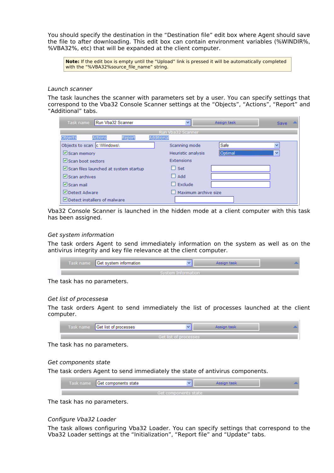You should specify the destination in the "Destination file" edit box where Agent should save the file to after downloading. This edit box can contain environment variables (%WINDIR%, %VBA32%, etc) that will be expanded at the client computer.

**Note:** If the edit box is empty until the "Upload" link is pressed it will be automatically completed with the "%VBA32%source\_file\_name" string.

#### Launch scanner

The task launches the scanner with parameters set by a user. You can specify settings that correspond to the Vba32 Console Scanner settings at the "Objects", "Actions", "Report" and "Additional" tabs.

| Task name                                     | Run Vba32 Scanner                     |            | ▿∥                   | Assign task | Save |  |
|-----------------------------------------------|---------------------------------------|------------|----------------------|-------------|------|--|
|                                               |                                       |            | Run Vba32 Scanner    |             |      |  |
| Objects                                       | Report<br>Actions                     | Additional |                      |             |      |  |
| Objects to scan c:\Windows\                   |                                       |            | Scanning mode        | Safe        |      |  |
| $\Box$ Scan memory                            |                                       |            | Heuristic analysis   | Optimal     | v    |  |
| $\triangleright$ Scan boot sectors            |                                       |            | Extensions           |             |      |  |
|                                               | Scan files launched at system startup |            | $\Box$ Set           |             |      |  |
| $\triangledown$ Scan archives                 |                                       |            | Add                  |             |      |  |
| $\nabla$ Scan mail                            |                                       |            | Exclude              |             |      |  |
| Detect Adware                                 |                                       |            | Maximum archive size |             |      |  |
| $\triangleright$ Detect installers of malware |                                       |            |                      |             |      |  |

Vba32 Console Scanner is launched in the hidden mode at a client computer with this task has been assigned.

#### Get system information

The task orders Agent to send immediately information on the system as well as on the antivirus integrity and key file relevance at the client computer.

| Task name Get system information |                    |  |  |
|----------------------------------|--------------------|--|--|
|                                  | System Information |  |  |

The task has no parameters.

#### Get list of processesв

The task orders Agent to send immediately the list of processes launched at the client computer.

| lask hame | Get list<br>processes |  |  |
|-----------|-----------------------|--|--|
|           |                       |  |  |

The task has no parameters.

#### Get components state

The task orders Agent to send immediately the state of antivirus components.

| Task name   Get components state | ш                    |  |
|----------------------------------|----------------------|--|
|                                  | Get components state |  |

The task has no parameters.

#### Configure Vba32 Loader

The task allows configuring Vba32 Loader. You can specify settings that correspond to the Vba32 Loader settings at the "Initialization", "Report file" and "Update" tabs.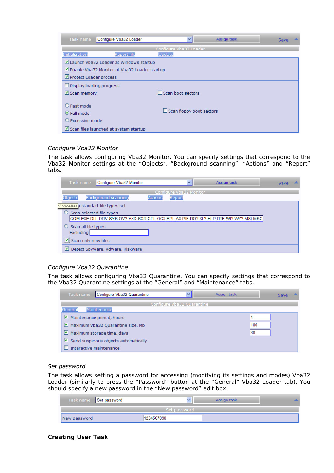| Task name                    | Configure Vba32 Loader                       | $\checkmark$             | Assign task | <b>Save</b> |
|------------------------------|----------------------------------------------|--------------------------|-------------|-------------|
|                              |                                              | Configure Vba32 Loader   |             |             |
| Initialization               | <b>Report file</b>                           | Update                   |             |             |
|                              | Launch Vba32 Loader at Windows startup       |                          |             |             |
|                              | Enable Vba32 Monitor at Vba32 Loader startup |                          |             |             |
| Protect Loader process       |                                              |                          |             |             |
| Display loading progress     |                                              |                          |             |             |
| $\triangleright$ Scan memory |                                              | Scan boot sectors        |             |             |
|                              |                                              |                          |             |             |
| O Fast mode                  |                                              |                          |             |             |
| $\odot$ Full mode            |                                              | Scan floppy boot sectors |             |             |
| O Excessive mode             |                                              |                          |             |             |
|                              | Scan files launched at system startup        |                          |             |             |

#### Configure Vba32 Monitor

The task allows configuring Vba32 Monitor. You can specify settings that correspond to the Vba32 Monitor settings at the "Objects", "Background scanning", "Actions" and "Report" tabs.

| Task name                               | Configure Vba32 Monitor                                                            |         | $\checkmark$            | Assign task | Save |  |
|-----------------------------------------|------------------------------------------------------------------------------------|---------|-------------------------|-------------|------|--|
|                                         |                                                                                    |         | Configure Vba32 Monitor |             |      |  |
| Objects                                 | Background scanning                                                                | Actions | Report                  |             |      |  |
|                                         | of processes in standart file types set                                            |         |                         |             |      |  |
| Scan selected file types                |                                                                                    |         |                         |             |      |  |
|                                         | COM.EXE.DLL.DRV.SYS.OV?.VXD.SCR.CPL.OCX.BPL.AX.PIF.DO?.XL?.HLP.RTF.WI?.WZ?.MSI.MSC |         |                         |             |      |  |
| Scan all file types                     |                                                                                    |         |                         |             |      |  |
| Excluding                               |                                                                                    |         |                         |             |      |  |
| $\vert \vert \vert$ Scan only new files |                                                                                    |         |                         |             |      |  |
| M                                       | Detect Spyware, Adware, Riskware                                                   |         |                         |             |      |  |

#### Configure Vba32 Quarantine

The task allows configuring Vba32 Quarantine. You can specify settings that correspond to the Vba32 Quarantine settings at the "General" and "Maintenance" tabs.

| Configure Vba32 Quarantine<br>Task name                | v.                         | Assign task | Save |  |  |
|--------------------------------------------------------|----------------------------|-------------|------|--|--|
|                                                        | Configure Vba32 Quarantine |             |      |  |  |
| Maintenance<br>General                                 |                            |             |      |  |  |
| $\triangleright$ Maintenance period, hours             |                            |             |      |  |  |
| $\triangleright$ Maximum Vba32 Quarantine size, Mb     |                            |             | 100  |  |  |
| $\vee$ Maximum storage time, days                      |                            |             | 130  |  |  |
| $\triangleright$ Send suspicious objects automatically |                            |             |      |  |  |
| Interactive maintenance                                |                            |             |      |  |  |

#### Set password

The task allows setting a password for accessing (modifying its settings and modes) Vba32 Loader (similarly to press the "Password" button at the "General" Vba32 Loader tab). You should specify a new password in the "New password" edit box.

|              | Task name Set password |              | Assign task |  |
|--------------|------------------------|--------------|-------------|--|
|              |                        | Set password |             |  |
| New password |                        | 1234567890   |             |  |

#### **Creating User Task**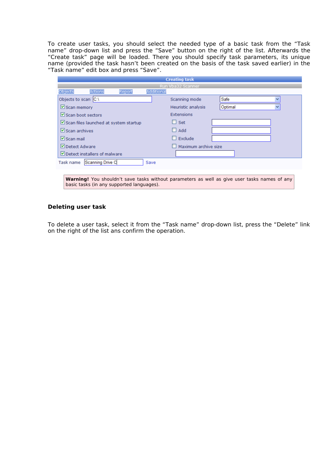To create user tasks, you should select the needed type of a basic task from the "Task name" drop-down list and press the "Save" button on the right of the list. Afterwards the "Create task" page will be loaded. There you should specify task parameters, its unique name (provided the task hasn't been created on the basis of the task saved earlier) in the "Task name" edit box and press "Save".

|                                       |                  |        |                   | <b>Creating task</b> |                                                                                                     |  |
|---------------------------------------|------------------|--------|-------------------|----------------------|-----------------------------------------------------------------------------------------------------|--|
|                                       |                  |        |                   | Run Vba32 Scanner    |                                                                                                     |  |
| Objects                               | Actions          | Report | <b>Additional</b> |                      |                                                                                                     |  |
| Objects to scan $ C_{\cdot}\rangle$   |                  |        |                   | Scanning mode        | Safe                                                                                                |  |
| $\triangleright$ Scan memory          |                  |        |                   | Heuristic analysis   | Optimal                                                                                             |  |
| $\triangleright$ Scan boot sectors    |                  |        |                   | Extensions           |                                                                                                     |  |
| Scan files launched at system startup |                  |        |                   | Set<br>ш             |                                                                                                     |  |
| $\triangleright$ Scan archives        |                  |        |                   | Add                  |                                                                                                     |  |
| $ v $ Scan mail                       |                  |        |                   | Exclude<br>ш         |                                                                                                     |  |
| Detect Adware                         |                  |        |                   | Maximum archive size |                                                                                                     |  |
| Detect installers of malware          |                  |        |                   |                      |                                                                                                     |  |
| Task name                             | Scanning Drive C |        | Save              |                      |                                                                                                     |  |
|                                       |                  |        |                   |                      |                                                                                                     |  |
|                                       |                  |        |                   |                      | <b>Warning!</b> You shouldn't save tasks without parameters as well as give user tasks names of any |  |

**Deleting user task**

basic tasks (in any supported languages).

### To delete a user task, select it from the "Task name" drop-down list, press the "Delete" link on the right of the list ans confirm the operation.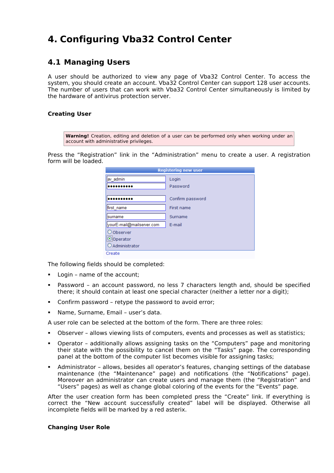## <span id="page-18-1"></span>**4. Configuring Vba32 Control Center**

## <span id="page-18-0"></span>**4.1 Managing Users**

A user should be authorized to view any page of Vba32 Control Center. To access the system, you should create an account. Vba32 Control Center can support 128 user accounts. The number of users that can work with Vba32 Control Center simultaneously is limited by the hardware of antivirus protection server.

#### **Creating User**

**Warning!** Creation, editing and deletion of a user can be performed only when working under an account with administrative privileges.

Press the "Registration" link in the "Administration" menu to create a user. A registration form will be loaded.

| <b>Registering new user</b>                |                  |  |  |  |  |
|--------------------------------------------|------------------|--|--|--|--|
| av admin                                   | Login            |  |  |  |  |
|                                            | Password         |  |  |  |  |
|                                            | Confirm password |  |  |  |  |
| first name                                 | First name       |  |  |  |  |
| surname                                    | Surname          |  |  |  |  |
| yourE-mail@mailserver.com                  | E-mail           |  |  |  |  |
| O Observer<br>O Operator<br>OAdministrator |                  |  |  |  |  |
| Create                                     |                  |  |  |  |  |

The following fields should be completed:

- Login name of the account;
- Password an account password, no less 7 characters length and, should be specified there; it should contain at least one special character (neither a letter nor a digit);
- Confirm password retype the password to avoid error;
- Name, Surname, Email user's data.

A user role can be selected at the bottom of the form. There are three roles:

- Observer allows viewing lists of computers, events and processes as well as statistics;
- Operator additionally allows assigning tasks on the "Computers" page and monitoring their state with the possibility to cancel them on the "Tasks" page. The corresponding panel at the bottom of the computer list becomes visible for assigning tasks;
- Administrator allows, besides all operator's features, changing settings of the database maintenance (the "Maintenance" page) and notifications (the "Notifications" page). Moreover an administrator can create users and manage them (the "Registration" and "Users" pages) as well as change global coloring of the events for the "Events" page.

After the user creation form has been completed press the "Create" link. If everything is correct the "New account successfully created" label will be displayed. Otherwise all incomplete fields will be marked by a red asterix.

#### **Changing User Role**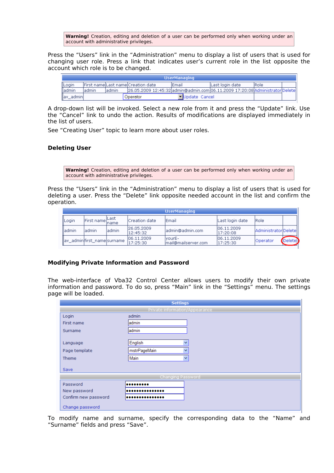**Warning!** Creation, editing and deletion of a user can be performed only when working under an account with administrative privileges.

Press the "Users" link in the "Administration" menu to display a list of users that is used for changing user role. Press a link that indicates user's current role in the list opposite the account which role is to be changed.

| <b>UserManaging</b> |         |        |                                                                              |                 |                  |              |  |
|---------------------|---------|--------|------------------------------------------------------------------------------|-----------------|------------------|--------------|--|
| Login               |         |        | lFirst namelLast namelCreation date                                          | lEmail          | lLast login date | <b>IRole</b> |  |
| ladmin              | 'admin. | ladmin | 26.05.2009 12:45:32ladmin@admin.com 06.11.2009 17:20:08 Administrator Delete |                 |                  |              |  |
| av_admin            |         |        | Operator                                                                     | I Update Cancel |                  |              |  |

A drop-down list will be invoked. Select a new role from it and press the "Update" link. Use the "Cancel" link to undo the action. Results of modifications are displayed immediately in the list of users.

See "Creating User" topic to learn more about user roles.

#### **Deleting User**

**Warning!** Creation, editing and deletion of a user can be performed only when working under an account with administrative privileges.

Press the "Users" link in the "Administration" menu to display a list of users that is used for deleting a user. Press the "Delete" link opposite needed account in the list and confirm the operation.

|               | <b>UserManaging</b>          |        |                         |                                |                          |                       |           |  |  |
|---------------|------------------------------|--------|-------------------------|--------------------------------|--------------------------|-----------------------|-----------|--|--|
| <b>ILogin</b> | First name Last              |        | ICreation date          | lEmail                         | Last login date          | IRole                 |           |  |  |
| lladmin       | ladmin                       | ladmin | 126.05.2009<br>12:45:32 | ladmin@admin.com               | 106.11.2009<br>117:20:08 | AdministratorDeletell |           |  |  |
|               | lav adminifirst namelsurname |        | 106.11.2009<br>17:25:30 | lvourE-<br>mail@mailserver.com | 106.11.2009<br>117:25:30 | lOperator             | (Deletel) |  |  |

#### **Modifying Private Information and Password**

The web-interface of Vba32 Control Center allows users to modify their own private information and password. To do so, press "Main" link in the "Settings" menu. The settings page will be loaded.

| <b>Settings</b>      |                                |  |  |  |  |  |  |
|----------------------|--------------------------------|--|--|--|--|--|--|
|                      | Private information/Appearance |  |  |  |  |  |  |
| Login                | admin                          |  |  |  |  |  |  |
| First name           | ladmin                         |  |  |  |  |  |  |
| Surname              | admin                          |  |  |  |  |  |  |
|                      |                                |  |  |  |  |  |  |
| Language             | English<br>$\checkmark$        |  |  |  |  |  |  |
| Page template        | mstrPageMain<br>v              |  |  |  |  |  |  |
| Theme                | Main<br>v                      |  |  |  |  |  |  |
|                      |                                |  |  |  |  |  |  |
| Save                 |                                |  |  |  |  |  |  |
|                      | Changing Password              |  |  |  |  |  |  |
| Password             |                                |  |  |  |  |  |  |
| New password         |                                |  |  |  |  |  |  |
| Confirm new password |                                |  |  |  |  |  |  |
| Change password      |                                |  |  |  |  |  |  |

To modify name and surname, specify the corresponding data to the "Name" and "Surname" fields and press "Save".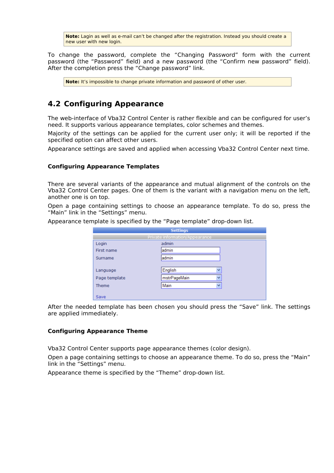**Note:** Lagin as well as e-mail can't be changed after the registration. Instead you should create a new user with new login.

To change the password, complete the "Changing Password" form with the current password (the "Password" field) and a new password (the "Confirm new password" field). After the completion press the "Change password" link.

**Note:** It's impossible to change private information and password of other user.

## <span id="page-20-0"></span>**4.2 Configuring Appearance**

The web-interface of Vba32 Control Center is rather flexible and can be configured for user's need. It supports various appearance templates, color schemes and themes.

Majority of the settings can be applied for the current user only; it will be reported if the specified option can affect other users.

Appearance settings are saved and applied when accessing Vba32 Control Center next time.

#### **Configuring Appearance Templates**

There are several variants of the appearance and mutual alignment of the controls on the Vba32 Control Center pages. One of them is the variant with a navigation menu on the left, another one is on top.

Open a page containing settings to choose an appearance template. To do so, press the "Main" link in the "Settings" menu.

Appearance template is specified by the "Page template" drop-down list.

| <b>Settings</b> |                                |  |  |  |  |  |
|-----------------|--------------------------------|--|--|--|--|--|
|                 | Private information/Appearance |  |  |  |  |  |
| Login           | admin                          |  |  |  |  |  |
| First name      | admin                          |  |  |  |  |  |
| Surname         | admin                          |  |  |  |  |  |
|                 |                                |  |  |  |  |  |
| Language        | English<br>v                   |  |  |  |  |  |
| Page template   | mstrPageMain                   |  |  |  |  |  |
| <b>Theme</b>    | Main<br>$\checkmark$           |  |  |  |  |  |
|                 |                                |  |  |  |  |  |
| Save            |                                |  |  |  |  |  |

After the needed template has been chosen you should press the "Save" link. The settings are applied immediately.

#### **Configuring Appearance Theme**

Vba32 Control Center supports page appearance themes (color design).

Open a page containing settings to choose an appearance theme. To do so, press the "Main" link in the "Settings" menu.

Appearance theme is specified by the "Theme" drop-down list.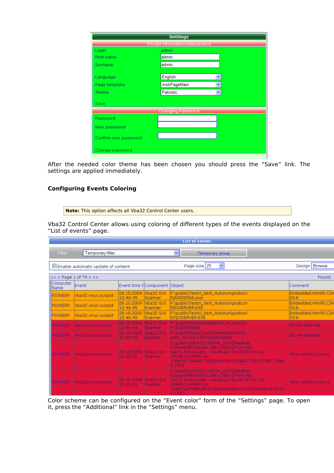| <b>Settings</b>      |                                |   |  |
|----------------------|--------------------------------|---|--|
|                      | Private information/Appearance |   |  |
| Login                | admin                          |   |  |
| First name           | admin                          |   |  |
| Surname              | admin                          |   |  |
|                      |                                |   |  |
| Language             | English                        | Ÿ |  |
| Page template        | mstrPageMain                   | Ÿ |  |
| Theme                | Patriotic                      | v |  |
| Save                 |                                |   |  |
|                      | <b>Changing Password</b>       |   |  |
| Password             |                                |   |  |
| New password         |                                |   |  |
| Confirm new password |                                |   |  |
| Change password      |                                |   |  |

After the needed color theme has been chosen you should press the "Save" link. The settings are applied immediately.

#### **Configuring Events Coloring**

**Note:** This option affects all Vba32 Control Center users.

Vba32 Control Center allows using coloring of different types of the events displayed on the "List of events" page.

| <b>List of events</b>     |                                                                          |                        |                                |                                                                                                                                                                                                                                |                             |  |  |  |
|---------------------------|--------------------------------------------------------------------------|------------------------|--------------------------------|--------------------------------------------------------------------------------------------------------------------------------------------------------------------------------------------------------------------------------|-----------------------------|--|--|--|
| Filter                    | Temporary filter                                                         |                        |                                | $\vee$<br>Temporary group                                                                                                                                                                                                      |                             |  |  |  |
|                           | Design Browse<br>Page size 25<br>×<br>Enable automatic update of content |                        |                                |                                                                                                                                                                                                                                |                             |  |  |  |
|                           | $<<$ Page 1 of 79 > >>                                                   |                        |                                |                                                                                                                                                                                                                                | Found:                      |  |  |  |
| Computer <br><b>IName</b> | Event                                                                    |                        | Event time † Component  Object |                                                                                                                                                                                                                                | Comment                     |  |  |  |
| <b>IPIONEER</b>           | vba32.virus.suspict                                                      | 28.10.2009<br>12:46:45 | Vba32 GUI<br>Scanner           | F:\public\Tests\ test Autorun\podozri<br>t\A0008566.exe                                                                                                                                                                        | Embedded.Win95.CIH<br>l03.b |  |  |  |
| <b>IIPTONEER</b>          | vba32.virus.suspict                                                      | 28.10.2009<br>12:46:45 | Vba32 GUI<br><b>Scanner</b>    | F:\public\Tests\_test_Autorun\podozri<br>INESSERVER.EXE                                                                                                                                                                        | Embedded.Win95.CIH<br>lo3.b |  |  |  |
| <b>IPIONEER</b>           | vba32.virus.suspict                                                      | 28.10.2009<br>12:46:45 | Vba32 GUI<br><b>Scanner</b>    | F:\public\Tests\_test_Autorun\podozri<br>t2\ESSERVER.EXE                                                                                                                                                                       | Embedded.Win95.CIH<br>l03.b |  |  |  |
| PIONEER                   | vba32.virus.found                                                        | 28.10.2009<br>12:46:44 | Vba32 GUI<br>Scanner           | F:\public\Tests\tst\0\testX_v2.exe:{S<br>FX}\00000000                                                                                                                                                                          | <b>EICAR-Test-File</b>      |  |  |  |
| PIONEER                   | vba32.virus.found                                                        | 28.10.2009<br>12:45:55 | Vba32 GUI<br><b>Scanner</b>    | F:\public\Tests\TestDriverMon\TestX\t<br>estX_v2.exe: {SFX }\00000000                                                                                                                                                          | EICAR-Test-File             |  |  |  |
| PIONEER                   | lvba32.virus.found                                                       | 28.10.2009<br>12:35:22 | Vba32 GUI<br><b>Scanner</b>    | F:\public\20081211\from_styx\[feedbac<br>k]\Sent\MESSAGES.TBB: {TBB}\[From:Mik<br>hail S. Pobolovets - Feedback 06.08.08 15:14]:<br><b>KMIME WORER.rar:</b><br>{RAR}\E75A60C73EB39487AF66D5BA7702CF69B713AB6<br>$B$ . $\{PE\}$ | Virus.Win32.Xorer.a         |  |  |  |
| PIONEER                   | lvba32.virus.found                                                       | 28.10.2009<br>12:35:21 | Vba32 GUI<br><b>Scanner</b>    | F:\public\20081211\from_styx\[feedbac<br>k]\Sent\MESSAGES.TBB: {TBB }\[From:Mik<br>hail S. Pobolovets - Feedback 06.08.08 15:14]:<br>{{MIME}\XORER.rar:<br>{RAR}\DFF9E83AF131E3AA240BF1CC910308AAC41E107<br>$C$ . $\{PE\}$     | Virus.Win32.Xorer.g         |  |  |  |

Color scheme can be configured on the "Event color" form of the "Settings" page. To open it, press the "Additional" link in the "Settings" menu.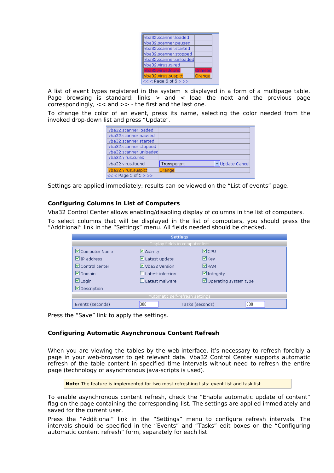| vba32.scanner.loaded    |        |  |
|-------------------------|--------|--|
| vba32.scanner.paused    |        |  |
| vba32.scanner.started   |        |  |
| vba32.scanner.stopped   |        |  |
| yba32.scanner.unloaded  |        |  |
| vba32.virus.cured       |        |  |
| vba32.virus.found       | nsor   |  |
| vba32.virus.suspict     | Orange |  |
| $<<$ < Page 5 of 5 > >> |        |  |

A list of event types registered in the system is displayed in a form of a multipage table. Page browsing is standard: links  $>$  and  $<$  load the next and the previous page correspondingly, << and >> - the first and the last one.

To change the color of an event, press its name, selecting the color needed from the invoked drop-down list and press "Update".

| llvba32.scanner.loaded    |                                |
|---------------------------|--------------------------------|
| llvba32.scanner.paused    |                                |
| lvba32.scanner.started    |                                |
| llvba32.scanner.stopped   |                                |
| llvba32.scanner.unloadedl |                                |
| lvba32.virus.cured        |                                |
| llvba32.virus.found       | v Update Cancel<br>Transparent |
| vba32.virus.suspict       | Orange                         |
| $<<$ < Page 5 of 5 > >>   |                                |

Settings are applied immediately; results can be viewed on the "List of events" page.

#### **Configuring Columns in List of Computers**

Vba32 Control Center allows enabling/disabling display of columns in the list of computers.

To select columns that will be displayed in the list of computers, you should press the "Additional" link in the "Settings" menu. All fields needed should be checked.

| <b>Settings</b>                     |                                  |                        |  |  |  |  |
|-------------------------------------|----------------------------------|------------------------|--|--|--|--|
|                                     | Display fields in computer list: |                        |  |  |  |  |
| ■ Computer Name                     | $\Box$ Activity                  | ⊠ср∪                   |  |  |  |  |
| $\nabla$ IP address.                | $\Box$ Latest update             | $\boxdot$ Key          |  |  |  |  |
| $\nabla$ Control center             | VVha32 Version                   | <b>M</b> RAM           |  |  |  |  |
| $\nabla$ Domain<br>Latest infection |                                  | $\Box$ Integrity       |  |  |  |  |
| $\boxdot$ Login                     | LLatest malware                  | Operating system type  |  |  |  |  |
| <b>□</b> Description                |                                  |                        |  |  |  |  |
| Automatic self-refresh settings     |                                  |                        |  |  |  |  |
| Events (seconds)                    | 300                              | 600<br>Tasks (seconds) |  |  |  |  |

Press the "Save" link to apply the settings.

#### **Configuring Automatic Asynchronous Content Refresh**

When you are viewing the tables by the web-interface, it's necessary to refresh forcibly a page in your web-browser to get relevant data. Vba32 Control Center supports automatic refresh of the table content in specified time intervals without need to refresh the entire page (technology of asynchronous java-scripts is used).

**Note:** The feature is implemented for two most refreshing lists: event list and task list.

To enable asynchronous content refresh, check the "Enable automatic update of content" flag on the page containing the corresponding list. The settings are applied immediately and saved for the current user.

Press the "Additional" link in the "Settings" menu to configure refresh intervals. The intervals should be specified in the "Events" and "Tasks" edit boxes on the "Configuring automatic content refresh" form, separately for each list.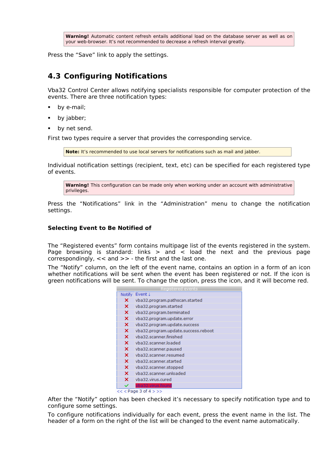**Warning!** Automatic content refresh entails additional load on the database server as well as on your web-browser. It's not recommended to decrease a refresh interval greatly.

Press the "Save" link to apply the settings.

## <span id="page-23-0"></span>**4.3 Configuring Notifications**

Vba32 Control Center allows notifying specialists responsible for computer protection of the events. There are three notification types:

- by e-mail;
- by jabber;
- by net send.

First two types require a server that provides the corresponding service.

**Note:** It's recommended to use local servers for notifications such as mail and jabber.

Individual notification settings (recipient, text, etc) can be specified for each registered type of events.

**Warning!** This configuration can be made only when working under an account with administrative privileges.

Press the "Notifications" link in the "Administration" menu to change the notification settings.

#### **Selecting Event to Be Notified of**

The "Registered events" form contains multipage list of the events registered in the system. Page browsing is standard: links  $>$  and  $\lt$  load the next and the previous page correspondingly, << and >> - the first and the last one.

The "Notify" column, on the left of the event name, contains an option in a form of an icon whether notifications will be sent when the event has been registered or not. If the icon is green notifications will be sent. To change the option, press the icon, and it will become red.

| Registered events |                                     |  |  |  |  |
|-------------------|-------------------------------------|--|--|--|--|
| Notify            | Event J                             |  |  |  |  |
| ×                 | vba32.program.pathscan.started      |  |  |  |  |
| ×                 | vba32.program.started               |  |  |  |  |
| ×                 | vba32.program.terminated            |  |  |  |  |
| ×                 | vba32.program.update.error          |  |  |  |  |
| ×                 | vba32.program.update.success        |  |  |  |  |
| ×                 | vba32.program.update.success.reboot |  |  |  |  |
| ×                 | vba32.scanner.finished              |  |  |  |  |
| ×                 | vba32.scanner.loaded                |  |  |  |  |
| ×                 | vba32.scanner.paused                |  |  |  |  |
| ×                 | vba32.scanner.resumed               |  |  |  |  |
| ×                 | vba32.scanner.started               |  |  |  |  |
| ×                 | vba32.scanner.stopped               |  |  |  |  |
| ×                 | vba32.scanner.unloaded              |  |  |  |  |
| ×                 | vba32.virus.cured                   |  |  |  |  |
|                   | vba32.virus.found                   |  |  |  |  |

 $<<$  Page 3 of 4 > >>

After the "Notify" option has been checked it's necessary to specify notification type and to configure some settings.

To configure notifications individually for each event, press the event name in the list. The header of a form on the right of the list will be changed to the event name automatically.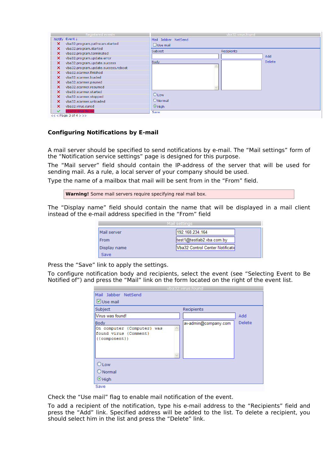|                           | Registered events                   |                     | vba32.virus.found |               |  |  |  |
|---------------------------|-------------------------------------|---------------------|-------------------|---------------|--|--|--|
| <b>Notify</b>             | Event !                             | Mail Jabber NetSend |                   |               |  |  |  |
| ×                         | vba32.program.pathscan.started      | Use mail            |                   |               |  |  |  |
| ×                         | vba32.program.started               | Subject             | Recipients        |               |  |  |  |
| ×                         | vba32.program.terminated            |                     |                   |               |  |  |  |
| $\boldsymbol{\mathsf{x}}$ | vba32.program.update.error          |                     |                   | Add           |  |  |  |
| $\times$                  | vba32.program.update.success        | <b>Body</b>         |                   | <b>Delete</b> |  |  |  |
| ×                         | vba32.program.update.success.reboot |                     |                   |               |  |  |  |
| ×                         | vba32.scanner.finished              |                     |                   |               |  |  |  |
| ×                         | vba32.scanner.loaded                |                     |                   |               |  |  |  |
| ×                         | vba32.scanner.paused                |                     |                   |               |  |  |  |
| ×                         | vba32.scanner.resumed               |                     |                   |               |  |  |  |
| ×                         | vba32.scanner.started               |                     |                   |               |  |  |  |
| ×                         | vba32.scanner.stopped               | $O$ Low             |                   |               |  |  |  |
| ×                         | vba32.scanner.unloaded              | $\bigcirc$ Normal   |                   |               |  |  |  |
| ×                         | vba32.virus.cured                   | $\odot$ High        |                   |               |  |  |  |
| ✓                         | ba32.virus.found                    | Save                |                   |               |  |  |  |
|                           | $<<$ Page 3 of 4 $>>$               |                     |                   |               |  |  |  |

#### **Configuring Notifications by E-mail**

A mail server should be specified to send notifications by e-mail. The "Mail settings" form of the "Notification service settings" page is designed for this purpose.

The "Mail server" field should contain the IP-address of the server that will be used for sending mail. As a rule, a local server of your company should be used.

Type the name of a mailbox that mail will be sent from in the "From" field.

```
Warning! Some mail servers require specifying real mail box.
```
The "Display name" field should contain the name that will be displayed in a mail client instead of the e-mail address specified in the "From" field

| Mail settings |                                          |  |  |
|---------------|------------------------------------------|--|--|
| Mail server   | 192.168.234.164                          |  |  |
| <b>From</b>   | test1@testlab2.vba.com.by                |  |  |
| Display name  | <b>IVba32 Control Center Notificatid</b> |  |  |
| Save          |                                          |  |  |

Press the "Save" link to apply the settings.

To configure notification body and recipients, select the event (see "Selecting Event to Be Notified of") and press the "Mail" link on the form located on the right of the event list.

| vba32.virus.found     |        |  |  |
|-----------------------|--------|--|--|
|                       |        |  |  |
| Subject<br>Recipients |        |  |  |
|                       | Add    |  |  |
| av-admin@company.com  | Delete |  |  |
|                       |        |  |  |
|                       |        |  |  |

Check the "Use mail" flag to enable mail notification of the event.

To add a recipient of the notification, type his e-mail address to the "Recipients" field and press the "Add" link. Specified address will be added to the list. To delete a recipient, you should select him in the list and press the "Delete" link.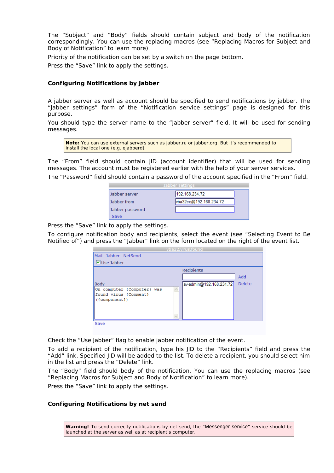The "Subject" and "Body" fields should contain subject and body of the notification correspondingly. You can use the replacing macros (see "Replacing Macros for Subject and Body of Notification" to learn more).

Priority of the notification can be set by a switch on the page bottom.

Press the "Save" link to apply the settings.

#### **Configuring Notifications by Jabber**

A jabber server as well as account should be specified to send notifications by jabber. The "Jabber settings" form of the "Notification service settings" page is designed for this purpose.

You should type the server name to the "Jabber server" field. It will be used for sending messages.

**Note:** You can use external servers such as jabber.ru or jabber.org. But it's recommended to install the local one (e.g. ejabberd).

The "From" field should contain JID (account identifier) that will be used for sending messages. The account must be registered earlier with the help of your server services.

The "Password" field should contain a password of the account specified in the "From" field.

| Jabber settings |                 |                        |  |
|-----------------|-----------------|------------------------|--|
|                 | Jabber server   | 192.168.234.72         |  |
|                 | Jabber from     | vba32cc@192.168.234.72 |  |
|                 | Jabber password |                        |  |
|                 | Save            |                        |  |

Press the "Save" link to apply the settings.

To configure notification body and recipients, select the event (see "Selecting Event to Be Notified of") and press the "Jabber" link on the form located on the right of the event list.

| vba32.virus.found                                                             |  |                         |        |
|-------------------------------------------------------------------------------|--|-------------------------|--------|
| Mail Jabber NetSend                                                           |  |                         |        |
| ■Use Jabber                                                                   |  |                         |        |
|                                                                               |  | Recipients              |        |
|                                                                               |  |                         | Add    |
| <b>Body</b>                                                                   |  | av-admin@192.168.234.72 | Delete |
| On computer {Computer} was<br>found virus {Comment}<br>$({\text{component}})$ |  |                         |        |
|                                                                               |  |                         |        |
| Save                                                                          |  |                         |        |
|                                                                               |  |                         |        |

Check the "Use Jabber" flag to enable jabber notification of the event.

To add a recipient of the notification, type his JID to the "Recipients" field and press the "Add" link. Specified JID will be added to the list. To delete a recipient, you should select him in the list and press the "Delete" link.

The "Body" field should body of the notification. You can use the replacing macros (see "Replacing Macros for Subject and Body of Notification" to learn more).

Press the "Save" link to apply the settings.

#### **Configuring Notifications by net send**

**Warning!** To send correctly notifications by net send, the "Messenger service" service should be launched at the server as well as at recipient's computer.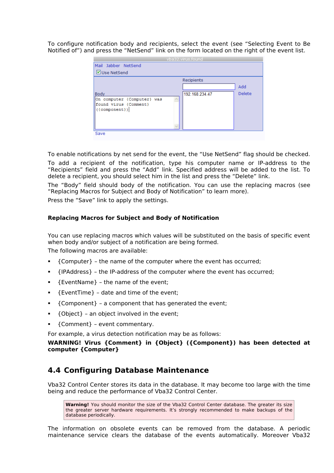To configure notification body and recipients, select the event (see "Selecting Event to Be Notified of") and press the "NetSend" link on the form located on the right of the event list.

| vba32.virus.found                               |                |        |  |  |
|-------------------------------------------------|----------------|--------|--|--|
| Mail Jabber NetSend                             |                |        |  |  |
| VUse NetSend                                    |                |        |  |  |
|                                                 | Recipients     |        |  |  |
|                                                 |                | Add    |  |  |
| <b>Body</b>                                     | 192.168.234.47 | Delete |  |  |
| On computer {Computer} was                      |                |        |  |  |
| found virus {Comment}<br>$({\text{component}})$ |                |        |  |  |
|                                                 |                |        |  |  |
|                                                 |                |        |  |  |
|                                                 |                |        |  |  |
| Save                                            |                |        |  |  |

To enable notifications by net send for the event, the "Use NetSend" flag should be checked.

To add a recipient of the notification, type his computer name or IP-address to the "Recipients" field and press the "Add" link. Specified address will be added to the list. To delete a recipient, you should select him in the list and press the "Delete" link.

The "Body" field should body of the notification. You can use the replacing macros (see "Replacing Macros for Subject and Body of Notification" to learn more).

Press the "Save" link to apply the settings.

#### **Replacing Macros for Subject and Body of Notification**

You can use replacing macros which values will be substituted on the basis of specific event when body and/or subject of a notification are being formed. The following macros are available:

- {Computer} the name of the computer where the event has occurred;
- {IPAddress} the IP-address of the computer where the event has occurred;
- {EventName} the name of the event;
- $\blacksquare$  {EventTime} date and time of the event;
- {Component} a component that has generated the event;
- {Object} an object involved in the event;
- {Comment} event commentary.

For example, a virus detection notification may be as follows:

**WARNING! Virus {Comment} in {Object} ({Component}) has been detected at computer {Computer}**

### <span id="page-26-0"></span>**4.4 Configuring Database Maintenance**

Vba32 Control Center stores its data in the database. It may become too large with the time being and reduce the performance of Vba32 Control Center.

**Warning!** You should monitor the size of the Vba32 Control Center database. The greater its size the greater server hardware requirements. It's strongly recommended to make backups of the database periodically.

The information on obsolete events can be removed from the database. A periodic maintenance service clears the database of the events automatically. Moreover Vba32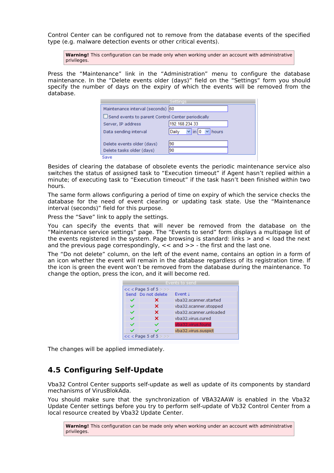Control Center can be configured not to remove from the database events of the specified type (e.g. malware detection events or other critical events).

**Warning!** This configuration can be made only when working under an account with administrative privileges.

Press the "Maintenance" link in the "Administration" menu to configure the database maintenance. In the "Delete events older (days)" field on the "Settings" form you should specify the number of days on the expiry of which the events will be removed from the database.

|                                                          | Settings                        |  |  |  |
|----------------------------------------------------------|---------------------------------|--|--|--|
| Maintenance interval (seconds) 60                        |                                 |  |  |  |
| $\Box$ Send events to parent Control Center periodically |                                 |  |  |  |
| Server, IP address                                       | 192.168.234.33                  |  |  |  |
| Data sending interval                                    | $\ln 10$<br>Daily<br>hours<br>v |  |  |  |
| Delete events older (days)                               | 90                              |  |  |  |
| Delete tasks older (days)                                | 90                              |  |  |  |
| Save                                                     |                                 |  |  |  |

Besides of clearing the database of obsolete events the periodic maintenance service also switches the status of assigned task to "Execution timeout" if Agent hasn't replied within a minute; of executing task to "Execution timeout" if the task hasn't been finished within two hours.

The same form allows configuring a period of time on expiry of which the service checks the database for the need of event clearing or updating task state. Use the "Maintenance interval (seconds)" field for this purpose.

Press the "Save" link to apply the settings.

You can specify the events that will never be removed from the database on the "Maintenance service settings" page. The "Events to send" form displays a multipage list of the events registered in the system. Page browsing is standard: links > and < load the next and the previous page correspondingly,  $\lt$  and  $\gt$   $\gt$  - the first and the last one.

The "Do not delete" column, on the left of the event name, contains an option in a form of an icon whether the event will remain in the database regardless of its registration time. If the icon is green the event won't be removed from the database during the maintenance. To change the option, press the icon, and it will become red.

| Events to send        |                         |                        |  |
|-----------------------|-------------------------|------------------------|--|
|                       | $<<$ < Page 5 of 5 $>>$ |                        |  |
|                       | Send Do not delete      | Event J                |  |
|                       | ×                       | vba32.scanner.started  |  |
|                       | ×                       | vba32.scanner.stopped  |  |
| ✓                     | ×                       | vba32.scanner.unloaded |  |
| ✓                     | ×                       | vba32.virus.cured      |  |
|                       |                         | vba32.virus.found      |  |
|                       |                         | vba32.virus.suspict    |  |
| $<<$ Page 5 of 5 $>>$ |                         |                        |  |

The changes will be applied immediately.

### <span id="page-27-0"></span>**4.5 Configuring Self-Update**

Vba32 Control Center supports self-update as well as update of its components by standard mechanisms of VirusBlokAda.

You should make sure that the synchronization of VBA32AAW is enabled in the Vba32 Update Center settings before you try to perform self-update of Vb32 Control Center from a local resource created by Vba32 Update Center.

**Warning!** This configuration can be made only when working under an account with administrative privileges.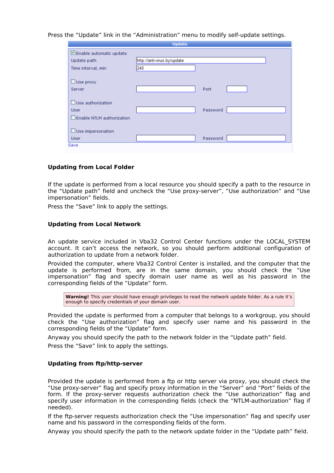Press the "Update" link in the "Administration" menu to modify self-update settings.

| <b>Update</b>                       |                             |          |  |  |
|-------------------------------------|-----------------------------|----------|--|--|
| ☑ Enable automatic update           |                             |          |  |  |
| Update path                         | http://anti-virus.by/update |          |  |  |
| Time interval, min                  | 240                         |          |  |  |
|                                     |                             |          |  |  |
| $\Box$ Use proxy                    |                             |          |  |  |
| Server                              |                             | Port     |  |  |
|                                     |                             |          |  |  |
| Use authorization                   |                             |          |  |  |
| <b>User</b>                         |                             | Password |  |  |
| $\square$ Enable NTLM authorization |                             |          |  |  |
|                                     |                             |          |  |  |
| $\Box$ Use impersonation            |                             |          |  |  |
| <b>User</b>                         |                             | Password |  |  |
| Save                                |                             |          |  |  |

#### **Updating from Local Folder**

If the update is performed from a local resource you should specify a path to the resource in the "Update path" field and uncheck the "Use proxy-server", "Use authorization" and "Use impersonation" fields.

Press the "Save" link to apply the settings.

#### **Updating from Local Network**

An update service included in Vba32 Control Center functions under the LOCAL\_SYSTEM account. It can't access the network, so you should perform additional configuration of authorization to update from a network folder.

Provided the computer, where Vba32 Control Center is installed, and the computer that the update is performed from, are in the same domain, you should check the "Use impersonation" flag and specify domain user name as well as his password in the corresponding fields of the "Update" form.

**Warning!** This user should have enough privileges to read the network update folder. As a rule it's enough to specify credentials of your domain user.

Provided the update is performed from a computer that belongs to a workgroup, you should check the "Use authorization" flag and specify user name and his password in the corresponding fields of the "Update" form.

Anyway you should specify the path to the network folder in the "Update path" field.

Press the "Save" link to apply the settings.

#### **Updating from ftp/http-server**

Provided the update is performed from a ftp or http server via proxy, you should check the "Use proxy-server" flag and specify proxy information in the "Server" and "Port" fields of the form. If the proxy-server requests authorization check the "Use authorization" flag and specify user information in the corresponding fields (check the "NTLM-authorization" flag if needed).

If the ftp-server requests authorization check the "Use impersonation" flag and specify user name and his password in the corresponding fields of the form.

Anyway you should specify the path to the network update folder in the "Update path" field.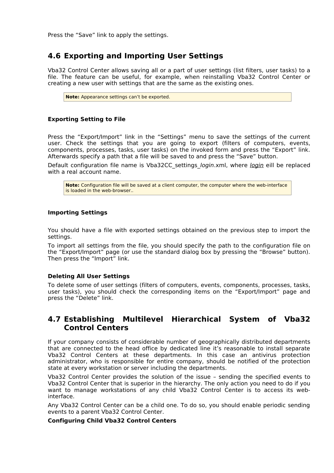Press the "Save" link to apply the settings.

## <span id="page-29-1"></span>**4.6 Exporting and Importing User Settings**

Vba32 Control Center allows saving all or a part of user settings (list filters, user tasks) to a file. The feature can be useful, for example, when reinstalling Vba32 Control Center or creating a new user with settings that are the same as the existing ones.

**Note:** Appearance settings can't be exported.

#### **Exporting Setting to File**

Press the "Export/Import" link in the "Settings" menu to save the settings of the current user. Check the settings that you are going to export (filters of computers, events, components, processes, tasks, user tasks) on the invoked form and press the "Export" link. Afterwards specify a path that a file will be saved to and press the "Save" button.

Default configuration file name is Vba32CC settings *login.xml, where login* eill be replaced with a real account name.

**Note:** Configuration file will be saved at a client computer, the computer where the web-interface is loaded in the web-browser..

#### **Importing Settings**

You should have a file with exported settings obtained on the previous step to import the settings.

To import all settings from the file, you should specify the path to the configuration file on the "Export/Import" page (or use the standard dialog box by pressing the "Browse" button). Then press the "Import" link.

#### **Deleting All User Settings**

To delete some of user settings (filters of computers, events, components, processes, tasks, user tasks), you should check the corresponding items on the "Export/Import" page and press the "Delete" link.

### <span id="page-29-0"></span>**4.7 Establishing Multilevel Hierarchical System of Vba32 Control Centers**

If your company consists of considerable number of geographically distributed departments that are connected to the head office by dedicated line it's reasonable to install separate Vba32 Control Centers at these departments. In this case an antivirus protection administrator, who is responsible for entire company, should be notified of the protection state at every workstation or server including the departments.

Vba32 Control Center provides the solution of the issue – sending the specified events to Vba32 Control Center that is superior in the hierarchy. The only action you need to do if you want to manage workstations of any child Vba32 Control Center is to access its webinterface.

Any Vba32 Control Center can be a child one. To do so, you should enable periodic sending events to a parent Vba32 Control Center.

#### **Configuring Child Vba32 Control Centers**